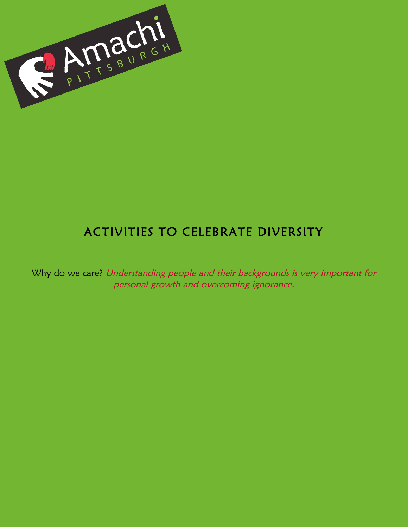

### ACTIVITIES TO CELEBRATE DIVERSITY

Why do we care? Understanding people and their backgrounds is very important for personal growth and overcoming ignorance.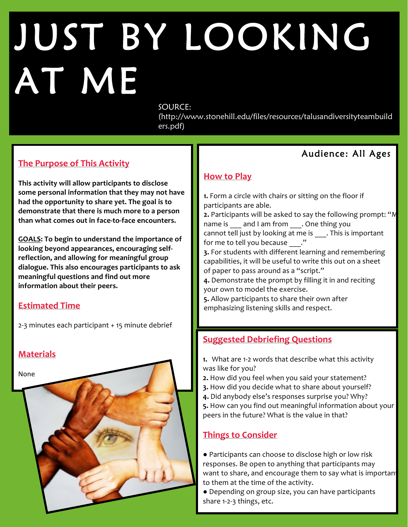### $\overline{\phantom{a}}$ ŗ  $\overline{\phantom{a}}$ I AT ME JUST BY LOOKING

#### SOURCE:

(http://www.stonehill.edu/files/resources/talusandiversityteambuild ers.pdf)

### **The Purpose of This Activity**

Ξ

This activity will allow participants to disclose some personal information that they may not have had the opportunity to share yet. The goal is to demonstrate that there is much more to a person than what comes out in face-to-face encounters.

**GOALS:** To begin to understand the importance of looking beyond appearances, encouraging selfreflection, and allowing for meaningful group dialogue. This also encourages participants to ask **meaningful questions and find out more information about their peers.**

### **Estimated Time**

2-3 minutes each participant + 15 minute debrief



### Audience: All Ages

### **How to Play**

**1.** Form a circle with chairs or sitting on the floor if participants are able.

**2.** Participants will be asked to say the following prompt: "M name is and I am from . One thing you cannot tell just by looking at me is This is important for me to tell you because  $\cdot$ ."

**3.** For students with different learning and remembering capabilities, it will be useful to write this out on a sheet of paper to pass around as a "script."

4. Demonstrate the prompt by filling it in and reciting your own to model the exercise.

**5.** Allow participants to share their own after emphasizing listening skills and respect.

### **Suggested Debriefing Questions**

- **1.** What are 1-2 words that describe what this activity was like for you?
- **2.** How did you feel when you said your statement?
- **3.** How did you decide what to share about yourself?
- 4. Did anybody else's responses surprise you? Why?
- **5.** How can you find out meaningful information about your peers in the future? What is the value in that?

### **Things to Consider**

● Participants can choose to disclose high or low risk responses. Be open to anything that participants may want to share, and encourage them to say what is important to them at the time of the activity.

• Depending on group size, you can have participants share 1-2-3 things, etc.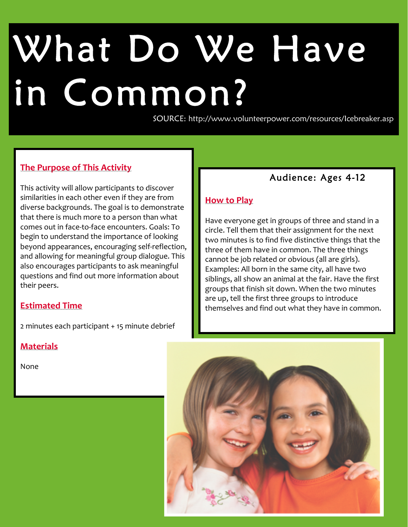# ľ What Do We Have in Common?

SOURCE: http://www.volunteerpower.com/resources/Icebreaker.asp

### **The Purpose of This Activity**

This activity will allow participants to discover similarities in each other even if they are from diverse backgrounds. The goal is to demonstrate that there is much more to a person than what comes out in face-to-face encounters. Goals: To begin to understand the importance of looking beyond appearances, encouraging self-reflection, and allowing for meaningful group dialogue. This also encourages participants to ask meaningful questions and find out more information about their peers.

#### **Estimated Time**

2 minutes each participant + 15 minute debrief

### **Materials**

None 

l

### Audience: Ages 4-12

### **How to Play**

Have everyone get in groups of three and stand in a circle. Tell them that their assignment for the next two minutes is to find five distinctive things that the three of them have in common. The three things cannot be job related or obvious (all are girls). Examples: All born in the same city, all have two siblings, all show an animal at the fair. Have the first groups that finish sit down. When the two minutes are up, tell the first three groups to introduce themselves and find out what they have in common.

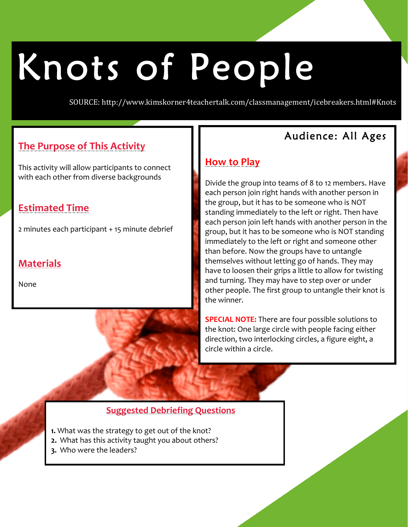### ֖֚֓ l Knots of People

SOURCE: http://www.kimskorner4teachertalk.com/classmanagement/icebreakers.html#Knots

#### $\overline{a}$ **The Purpose of This Activity**

This activity will allow participants to connect with each other from diverse backgrounds

### **Estimated Time**

2 minutes each participant + 15 minute debrief

### **Materials**

None 

i<br>I Ι

### Audience: All Ages

### **How to Play**

Divide the group into teams of 8 to 12 members. Have each person join right hands with another person in the group, but it has to be someone who is NOT standing immediately to the left or right. Then have each person join left hands with another person in the group, but it has to be someone who is NOT standing immediately to the left or right and someone other than before. Now the groups have to untangle themselves without letting go of hands. They may have to loosen their grips a little to allow for twisting and turning. They may have to step over or under other people. The first group to untangle their knot is the winner.

I

**SPECIAL NOTE:** There are four possible solutions to the knot: One large circle with people facing either direction, two interlocking circles, a figure eight, a circle within a circle.

### **Suggested Debriefing Questions**

- **1.** What was the strategy to get out of the knot?
- **2.** What has this activity taught you about others?
- **3.** Who were the leaders?